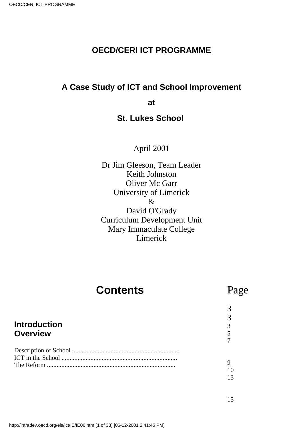### **OECD/CERI ICT PROGRAMME**

### **A Case Study of ICT and School Improvement**

**at**

### **St. Luke s School**

### April 2001

Dr Jim Gleeson, Team Leader Keith Johnston Oliver Mc Garr University of Limerick & David O'Grady Curriculum Development Unit Mary Immaculate College Limerick

# **Contents**

## Page

## **Introduction Overview**

9 10 13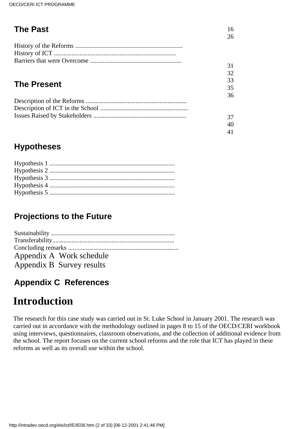| <b>The Past</b>    | 16 |
|--------------------|----|
|                    | 26 |
|                    |    |
|                    |    |
|                    |    |
|                    | 31 |
|                    | 32 |
|                    | 33 |
| <b>The Present</b> | 35 |
|                    | 36 |
|                    |    |
|                    |    |
|                    | 37 |
|                    | 40 |
|                    | 41 |

## **Hypotheses**

## **Projections to the Future**

| Appendix A Work schedule  |
|---------------------------|
| Appendix B Survey results |

## **Appendix C References**

# **Introduction**

The research for this case study was carried out in St. Luke School in January 2001. The research was carried out in accordance with the methodology outlined in pages 8 to 15 of the OECD/CERI workbook using interviews, questionnaires, classroom observations, and the collection of additional evidence from the school. The report focuses on the current school reforms and the role that ICT has played in these reforms as well as its overall use within the school.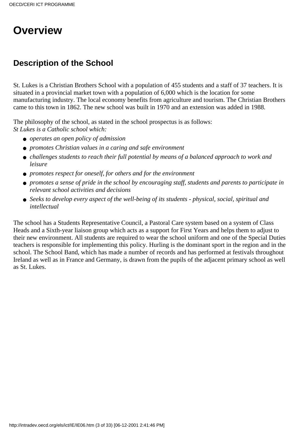# **Overview**

## **Description of the School**

St. Luke s is a Christian Brothers School with a population of 455 students and a staff of 37 teachers. It is situated in a provincial market town with a population of 6,000 which is the location for some manufacturing industry. The local economy benefits from agriculture and tourism. The Christian Brothers came to this town in 1862. The new school was built in 1970 and an extension was added in 1988.

The philosophy of the school, as stated in the school prospectus is as follows: *St Lukes is a Catholic school which:*

- *operates an open policy of admission*
- *promotes Christian values in a caring and safe environment*
- challenges students to reach their full potential by means of a balanced approach to work and *leisure*
- *promotes respect for oneself, for others and for the environment*
- *promotes a sense of pride in the school by encouraging staff, students and parents to participate in relevant school activities and decisions*
- Seeks to develop every aspect of the well-being of its students physical, social, spiritual and *intellectual*

The school has a Students Representative Council, a Pastoral Care system based on a system of Class Heads and a Sixth-year liaison group which acts as a support for First Years and helps them to adjust to their new environment. All students are required to wear the school uniform and one of the Special Duties teachers is responsible for implementing this policy. Hurling is the dominant sport in the region and in the school. The School Band, which has made a number of records and has performed at festivals throughout Ireland as well as in France and Germany, is drawn from the pupils of the adjacent primary school as well as St. Lukes.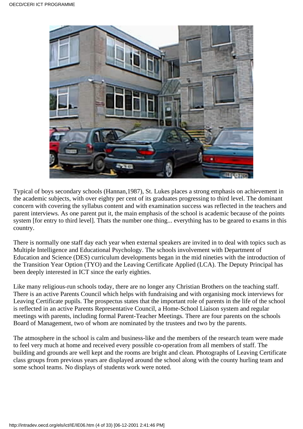

Typical of boys secondary schools (Hannan, 1987), St. Luke s places a strong emphasis on achievement in the academic subjects, with over eighty per cent of its graduates progressing to third level. The dominant concern with covering the syllabus content and with examination success was reflected in the teachers and parent interviews. As one parent put it, the main emphasis of the school is academic because of the points system [for entry to third level]. That s the number one thing... everything has to be geared to exams in this country.

There is normally one staff day each year when external speakers are invited in to deal with topics such as Multiple Intelligence and Educational Psychology. The school s involvement with Department of Education and Science (DES) curriculum developments began in the mid nineties with the introduction of the Transition Year Option (TYO) and the Leaving Certificate Applied (LCA). The Deputy Principal has been deeply interested in ICT since the early eighties.

Like many religious-run schools today, there are no longer any Christian Brothers on the teaching staff. There is an active Parents Council which helps with fundraising and with organising mock interviews for Leaving Certificate pupils. The prospectus states that the important role of parents in the life of the school is reflected in an active Parents Representative Council, a Home-School Liaison system and regular meetings with parents, including formal Parent-Teacher Meetings. There are four parents on the schools Board of Management, two of whom are nominated by the trustees and two by the parents.

The atmosphere in the school is calm and business-like and the members of the research team were made to feel very much at home and received every possible co-operation from all members of staff. The building and grounds are well kept and the rooms are bright and clean. Photographs of Leaving Certificate class groups from previous years are displayed around the school along with the county hurling team and some school teams. No displays of students work were noted.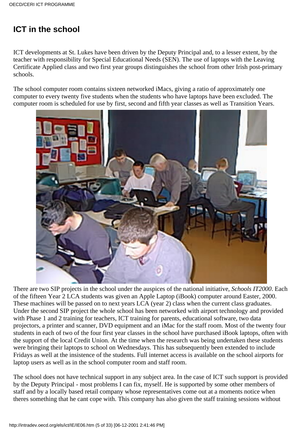## **ICT in the school**

ICT developments at St. Luke s have been driven by the Deputy Principal and, to a lesser extent, by the teacher with responsibility for Special Educational Needs (SEN). The use of laptops with the Leaving Certificate Applied class and two first year groups distinguishes the school from other Irish post-primary schools.

The school computer room contains sixteen networked iMacs, giving a ratio of approximately one computer to every twenty five students when the students who have laptops have been excluded. The computer room is scheduled for use by first, second and fifth year classes as well as Transition Years.



There are two SIP projects in the school under the auspices of the national initiative, *Schools IT2000*. Each of the fifteen Year 2 LCA students was given an Apple Laptop (iBook) computer around Easter, 2000. These machines will be passed on to next year s LCA (year 2) class when the current class graduates. Under the second SIP project the whole school has been networked with airport technology and provided with Phase 1 and 2 training for teachers, ICT training for parents, educational software, two data projectors, a printer and scanner, DVD equipment and an iMac for the staff room. Most of the twenty four students in each of two of the four first year classes in the school have purchased iBook laptops, often with the support of the local Credit Union. At the time when the research was being undertaken these students were bringing their laptops to school on Wednesdays. This has subsequently been extended to include Fridays as well at the insistence of the students. Full internet access is available on the school airports for laptop users as well as in the school computer room and staff room.

The school does not have technical support in any subject area. In the case of ICT such support is provided by the Deputy Principal - most problems I can fix, myself. He is supported by some other members of staff and by a locally based retail company whose representatives come out at a moment s notice when there s something that he can t cope with. This company has also given the staff training sessions without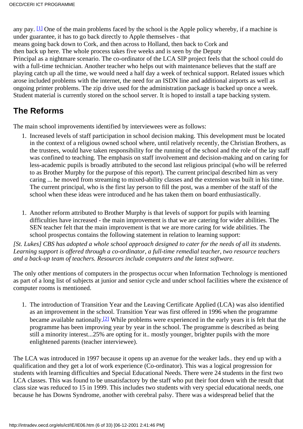any pay.  $[1]$  One of the main problems faced by the school is the Apple policy whereby, if a machine is under guarantee, it has to go back directly to Apple themselves - that means going back down to Cork, and then across to Holland, then back to Cork and then back up here. The whole process takes five weeks and is seen by the Deputy Principal as a nightmare scenario. The co-ordinator of the LCA SIP project feels that the school could do with a full-time technician. Another teacher who helps out with maintenance believes that the staff are playing catch up all the time, we would need a half day a week of technical support. Related issues which arose included problems with the internet, the need for an ISDN line and additional airports as well as ongoing printer problems. The zip drive used for the administration package is backed up once a week. Student material is currently stored on the school server. It is hoped to install a tape backing system.

## **The Reforms**

The main school improvements identified by interviewees were as follows:

- 1. Increased levels of staff participation in school decision making. This development must be located in the context of a religious owned school where, until relatively recently, the Christian Brothers, as the trustees, would have taken responsibility for the running of the school and the role of the lay staff was confined to teaching. The emphasis on staff involvement and decision-making and on caring for less-academic pupils is broadly attributed to the second last religious principal (who will be referred to as Brother Murphy for the purpose of this report). The current principal described him as very caring ... he moved from streaming to mixed-ability classes and the extension was built in his time. The current principal, who is the first lay person to fill the post, was a member of the staff of the school when these ideas were introduced and he has taken them on board enthusiastically.
- 1. Another reform attributed to Brother Murphy is that levels of support for pupils with learning difficulties have increased - the main improvement is that we are catering for wider abilities. The SEN teacher felt that the main improvement is that we are more caring for wide abilities. The school prospectus contains the following statement in relation to learning support:

*[St. Lukes] CBS has adopted a whole school approach designed to cater for the needs of all its students. Learning support is offered through a co-ordinator, a full-time remedial teacher, two resource teachers and a back-up team of teachers. Resources include computers and the latest software.*

The only other mentions of computers in the prospectus occur when Information Technology is mentioned as part of a long list of subjects at junior and senior cycle and under school facilities where the existence of computer rooms is mentioned.

1. The introduction of Transition Year and the Leaving Certificate Applied (LCA) was also identified as an improvement in the school. Transition Year was first offered in 1996 when the programme became available nationally[.\[2\]](http://waldorf.eds.udel.edu/oecd/report/cases/IE/St.Luke/IE06.html#fn2) While problems were experienced in the early years it is felt that the programme has been improving year by year in the school. The programme is described as being still a minority interest...25% are opting for it.. mostly younger, brighter pupils with the more enlightened parents (teacher interviewee).

The LCA was introduced in 1997 because it opens up an avenue for the weaker lads.. they end up with a qualification and they get a lot of work experience (Co-ordinator). This was a logical progression for students with learning difficulties and Special Educational Needs. There were 24 students in the first two LCA classes. This was found to be unsatisfactory by the staff who put their foot down with the result that class size was reduced to 15 in 1999. This includes two students with very special educational needs, one because he has Downs Syndrome, another with cerebral palsy. There was a widespread belief that the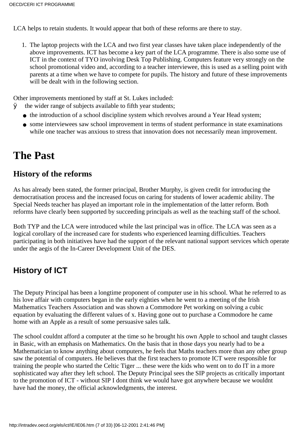LCA helps to retain students. It would appear that both of these reforms are there to stay.

1. The laptop projects with the LCA and two first year classes have taken place independently of the above improvements. ICT has become a key part of the LCA programme. There is also some use of ICT in the context of TYO involving Desk Top Publishing. Computers feature very strongly on the school promotional video and, according to a teacher interviewee, this is used as a selling point with parents at a time when we have to compete for pupils. The history and future of these improvements will be dealt with in the following section.

Other improvements mentioned by staff at St. Luke s included:

- $\emptyset$  the wider range of subjects available to fifth year students;
	- the introduction of a school discipline system which revolves around a Year Head system;
	- some interviewees saw school improvement in terms of student performance in state examinations while one teacher was anxious to stress that innovation does not necessarily mean improvement.

# **The Past**

### **History of the reforms**

As has already been stated, the former principal, Brother Murphy, is given credit for introducing the democratisation process and the increased focus on caring for students of lower academic ability. The Special Needs teacher has played an important role in the implementation of the latter reform. Both reforms have clearly been supported by succeeding principals as well as the teaching staff of the school.

Both TYP and the LCA were introduced while the last principal was in office. The LCA was seen as a logical corollary of the increased care for students who experienced learning difficulties. Teachers participating in both initiatives have had the support of the relevant national support services which operate under the aegis of the In-Career Development Unit of the DES.

## **History of ICT**

The Deputy Principal has been a longtime proponent of computer use in his school. What he referred to as his love affair with computers began in the early eighties when he went to a meeting of the Irish Mathematics Teachers Association and was shown a Commodore Pet working on solving a cubic equation by evaluating the different values of x. Having gone out to purchase a Commodore he came home with an Apple as a result of some persuasive sales talk.

The school couldn t afford a computer at the time so he brought his own Apple to school and taught classes in Basic, with an emphasis on Mathematics. On the basis that in those days you nearly had to be a Mathematician to know anything about computers, he feels that Maths teachers more than any other group saw the potential of computers. He believes that the first teachers to promote ICT were responsible for training the people who started the Celtic Tiger ... these were the kids who went on to do IT in a more sophisticated way after they left school. The Deputy Principal sees the SIP projects as critically important to the promotion of ICT - without SIP I don t think we would have got anywhere because we wouldn t have had the money, the official acknowledgments, the interest.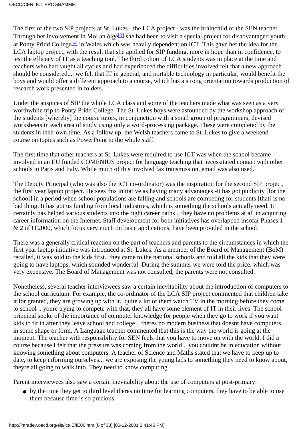The first of the two SIP projects at St. Luke s - the LCA project - was the brainchild of the SEN teacher. Through her involvement in Mol an óige<sup>[3]</sup> she had been to visit a special project for disadvantaged youth at Ponty Pridd College<sup>[\[4\]](http://waldorf.eds.udel.edu/oecd/report/cases/IE/St.Luke/IE06.html#fn4)</sup> in Wales which was heavily dependent on ICT. This gave her the idea for the LCA laptop project, with the result that she applied for SIP funding, more in hope than in confidence, to test the efficacy of IT as a teaching tool. The third cohort of LCA students was in place at the time and teachers who had taught all cycles and had experienced the difficulties involved felt that a new approach should be considered.... we felt that IT in general, and portable technology in particular, would benefit the boys and would offer a different approach to a course, which has a strong orientation towards production of research work presented in folders.

Under the auspices of SIP the whole LCA class and some of the teachers made what was seen as a very worthwhile trip to Ponty Pridd College. The St. Luke s boys were astounded by the workshop approach of the students [whereby] the course tutors, in conjunction with a small group of programmers, devised worksheets in each area of study using only a word-processing package. These were completed by the students in their own time. As a follow up, the Welsh teachers came to St. Luke s to give a weekend course on topics such as PowerPoint to the whole staff.

The first time that other teachers at St. Luke s were required to use ICT was when the school became involved in an EU funded COMENIUS project for language teaching that necessitated contact with other schools in Paris and Italy. While much of this involved fax transmission, email was also used.

The Deputy Principal (who was also the ICT co-ordinator) was the inspiration for the second SIP project, the first year laptop project. He sees this initiative as having many advantages -it has got publicity [for the school] in a period when school populations are falling and schools are competing for students [that] is no bad thing. It has got us funding from local industries, which is something the schools actually need. It certainly has helped various students into the right career paths .. they have no problems at all in acquiring career information on the Internet. Staff development for both initiatives has overlapped insofar Phases 1 & 2 of IT2000, which focus very much on basic applications, have been provided in the school.

There was a generally critical reaction on the part of teachers and parents to the circumstances in which the first year laptop initiative was introduced at St. Luke s. As a member of the Board of Management (BoM) recalled, it was sold to the kids first.. they came to the national schools and told all the kids that they were going to have laptops, which sounded wonderful. During the summer we were told the price, which was very expensive. The Board of Management was not consulted, the parents were not consulted.

Nonetheless, several teacher interviewees saw a certain inevitability about the introduction of computers to the school curriculum. For example, the co-ordinator of the LCA SIP project commented that children take it for granted, they are growing up with it.. quite a lot of them watch TV in the morning before they come to school .. youre trying to compete with that, they all have some element of IT in their lives. The school principal spoke of the importance of computer knowledge for people when they go to work if you want kids to fit in after they leave school and college.. there s no modern business that doesn t have computers in some shape or form. A Language teacher commented that this is the way the world is going at the moment. The teacher with responsibility for SEN feels that you have to move on with the world. I did a course because I felt that the pressure was coming from the world... you couldnt be in education without knowing something about computers. A teacher of Science and Maths stated that we have to keep up to date, to keep informing ourselves... we are exposing the young lads to something they need to know about, they re all going to walk into. They need to know computing

Parent interviewees also saw a certain inevitability about the use of computers at post-primary:

• by the time they get to third level there s no time for learning computers, they have to be able to use them because time is so precious.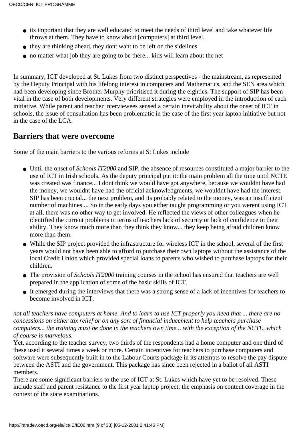- it s important that they are well educated to meet the needs of third level and take whatever life throws at them. They have to know about [computers] at third level.
- they are thinking ahead, they dont want to be left on the sidelines
- no matter what job they are going to be there... kids will learn about the net

In summary, ICT developed at St. Luke s from two distinct perspectives - the mainstream, as represented by the Deputy Principal with his lifelong interest in computers and Mathematics, and the SEN area which had been developing since Brother Murphy prioritised it during the eighties. The support of SIP has been vital in the case of both developments. Very different strategies were employed in the introduction of each initiative. While parent and teacher interviewees sensed a certain inevitability about the onset of ICT in schools, the issue of consultation has been problematic in the case of the first year laptop initiative but not in the case of the LCA.

### **Barriers that were overcome**

Some of the main barriers to the various reforms at St Luke s include

- Until the onset of *Schools IT2000* and SIP, the absence of resources constituted a major barrier to the use of ICT in Irish schools. As the deputy principal put it: the main problem all the time until NCTE was created was finance... I dont think we would have got anywhere, because we wouldn t have had the money, we wouldn t have had the official acknowledgments, we wouldn t have had the interest. SIP has been crucial... the next problem, and it s probably related to the money, was an insufficient number of machines.... So in the early days you either taught programming or you weren t using ICT at all, there was no other way to get involved. He reflected the views of other colleagues when he identified the current problems in terms of teachers lack of security or lack of confidence in their ability. They know much more than they think they know... they keep being afraid children know more than them.
- While the SIP project provided the infrastructure for wireless ICT in the school, several of the first years would not have been able to afford to purchase their own laptops without the assistance of the local Credit Union which provided special loans to parents who wished to purchase laptops for their children.
- The provision of *Schools IT2000* training courses in the school has ensured that teachers are well prepared in the application of some of the basic skills of ICT.
- It emerged during the interviews that there was a strong sense of a lack of incentives for teachers to become involved in ICT:

*not all teachers have computers at home. And to learn to use ICT properly you need that ... there are no concessions on either tax relief or on any sort of financial inducement to help teachers purchase computers... the training must be done in the teachers own time... with the exception of the NCTE, which of course is marvelous.*

Yet, according to the teacher survey, two thirds of the respondents had a home computer and one third of these used it several times a week or more. Certain incentives for teachers to purchase computers and software were subsequently built in to the Labour Court s package in its attempts to resolve the pay dispute between the ASTI and the government. This package has since been rejected in a ballot of all ASTI members.

There are some significant barriers to the use of ICT at St. Luke s which have yet to be resolved. These include staff and parent resistance to the first year laptop project; the emphasis on content coverage in the context of the state examinations.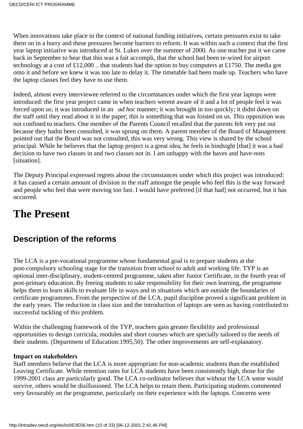When innovations take place in the context of national funding initiatives, certain pressures exist to take them on in a hurry and these pressures become barriers to reform. It was within such a context that the first year laptop initiative was introduced at St. Luke s over the summer of 2000. As one teacher put it we came back in September to hear that this was a fait accompli, that the school had been re-wired for airport technology at a cost of £12,000 .. that students had the option to buy computers at £1750. The media got onto it and before we knew it was too late to delay it. The timetable had been made up. Teachers who have the laptop classes feel they have to use them.

Indeed, almost every interviewee referred to the circumstances under which the first year laptops were introduced: the first year project came in when teachers weren t aware of it and a lot of people feel it was forced upon us; it was introduced in an *ad hoc* manner; it was brought in too quickly; it didnt dawn on the staff until they read about it in the paper; this is something that was foisted on us. This opposition was not confined to teachers. One member of the Parents Council recalled that the parents felt very put out because they hadn t been consulted, it was sprung on them. A parent member of the Board of Management pointed out that the Board was not consulted, this was very wrong. This view is shared by the school principal. While he believes that the laptop project is a great idea, he feels in hindsight [that] it was a bad decision to have two classes in and two classes not in. I am unhappy with the haves and have-nots [situation].

The Deputy Principal expressed regrets about the circumstances under which this project was introduced: it has caused a certain amount of division in the staff amongst the people who feel this is the way forward and people who feel that we re moving too fast. I would have preferred [if that had] not occurred, but it has occurred.

# **The Present**

### **Description of the reforms**

The LCA is a pre-vocational programme whose fundamental goal is to prepare students at the post-compulsory schooling stage for the transition from school to adult and working life. TYP is an optional inter-disciplinary, student-centred programme, taken after Junior Certificate, in the fourth year of post-primary education. By freeing students to take responsibility for their own learning, the programme helps them to learn skills to evaluate life in ways and in situations which are outside the boundaries of certificate programmes. From the perspective of the LCA, pupil discipline proved a significant problem in the early years. The reduction in class size and the introduction of laptops are seen as having contributed to successful tackling of this problem.

Within the challenging framework of the TYP, teachers gain greater flexibility and professional opportunities to design curricula, modules and short courses which are specially tailored to the needs of their students. (Department of Education:1995,50). The other improvements are self-explanatory.

#### **Impact on stakeholders**

Staff members believe that the LCA is more appropriate for non-academic students than the established Leaving Certificate. While retention rates for LCA students have been consistently high, those for the 1999-2001 class are particularly good. The LCA co-ordinator believes that without the LCA some would survive, others would be disillusioned. The LCA helps to retain them. Participating students commented very favourably on the programme, particularly on their experience with the laptops. Concerns were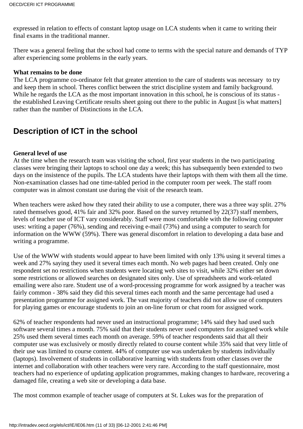expressed in relation to effects of constant laptop usage on LCA students when it came to writing their final exams in the traditional manner.

There was a general feeling that the school had come to terms with the special nature and demands of TYP after experiencing some problems in the early years.

#### **What remains to be done**

The LCA programme co-ordinator felt that greater attention to the care of students was necessary to try and keep them in school. There s conflict between the strict discipline system and family background. While he regards the LCA as the most important innovation in this school, he is conscious of its status the established Leaving Certificate results sheet going out there to the public in August [is what matters] rather than the number of Distinctions in the LCA.

### **Description of ICT in the school**

#### **General level of use**

At the time when the research team was visiting the school, first year students in the two participating classes were bringing their laptops to school one day a week; this has subsequently been extended to two days on the insistence of the pupils. The LCA students have their laptops with them with them all the time. Non-examination classes had one time-tabled period in the computer room per week. The staff room computer was in almost constant use during the visit of the research team.

When teachers were asked how they rated their ability to use a computer, there was a three way split. 27% rated themselves good, 41% fair and 32% poor. Based on the survey returned by 22(37) staff members, levels of teacher use of ICT vary considerably. Staff were most comfortable with the following computer uses: writing a paper (76%), sending and receiving e-mail (73%) and using a computer to search for information on the WWW (59%). There was general discomfort in relation to developing a data base and writing a programme.

Use of the WWW with students would appear to have been limited with only 13% using it several times a week and 27% saying they used it several times each month. No web pages had been created. Only one respondent set no restrictions when students were locating web sites to visit, while 32% either set down some restrictions or allowed searches on designated sites only. Use of spreadsheets and work-related emailing were also rare. Student use of a word-processing programme for work assigned by a teacher was fairly common - 38% said they did this several times each month and the same percentage had used a presentation programme for assigned work. The vast majority of teachers did not allow use of computers for playing games or encourage students to join an on-line forum or chat room for assigned work.

62% of teacher respondents had never used an instructional programme; 14% said they had used such software several times a month. 75% said that their students never used computers for assigned work while 25% used them several times each month on average. 59% of teacher respondents said that all their computer use was exclusively or mostly directly related to course content while 35% said that very little of their use was limited to course content. 44% of computer use was undertaken by students individually (laptops). Involvement of students in collaborative learning with students from other classes over the internet and collaboration with other teachers were very rare. According to the staff questionnaire, most teachers had no experience of updating application programmes, making changes to hardware, recovering a damaged file, creating a web site or developing a data base.

The most common example of teacher usage of computers at St. Luke s was for the preparation of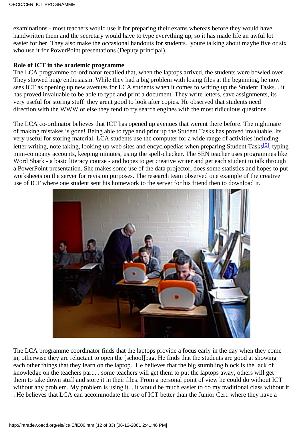examinations - most teachers would use it for preparing their exams whereas before they would have handwritten them and the secretary would have to type everything up, so it has made life an awful lot easier for her. They also make the occasional handouts for students.. youre talking about maybe five or six who use it for PowerPoint presentations (Deputy principal).

#### **Role of ICT in the academic programme**

The LCA programme co-ordinator recalled that, when the laptops arrived, the students were bowled over. They showed huge enthusiasm. While they had a big problem with losing files at the beginning, he now sees ICT as opening up new avenues for LCA students when it comes to writing up the Student Tasks... it has proved invaluable to be able to type and print a document. They write letters, save assignments, it s very useful for storing stuff they arent good to look after copies. He observed that students need direction with the WWW or else they tend to try search engines with the most ridiculous questions.

The LCA co-ordinator believes that ICT has opened up avenues that weren t there before. The nightmare of making mistakes is gone! Being able to type and print up the Student Tasks has proved invaluable. Its very useful for storing material. LCA students use the computer for a wide range of activities including letter writing, note taking, looking up web sites and encyclopedias when preparing Student Tasks<sup>[5]</sup>, typing mini-company accounts, keeping minutes, using the spell-checker. The SEN teacher uses programmes like Word Shark - a basic literacy course - and hopes to get creative writer and get each student to talk through a PowerPoint presentation. She makes some use of the data projector, does some statistics and hopes to put worksheets on the server for revision purposes. The research team observed one example of the creative use of ICT where one student sent his homework to the server for his friend then to download it.



The LCA programme coordinator finds that the laptops provide a focus early in the day when they come in, otherwise they are reluctant to open the [school]bag. He finds that the students are good at showing each other things that they learn on the laptop. He believes that the big stumbling block is the lack of knowledge on the teachers part.. . some teachers will get them to put the laptops away, others will get them to take down stuff and store it in their files. From a personal point of view he could do without ICT without any problem. My problem is using it... it would be much easier to do my traditional class without it . He believes that LCA can accommodate the use of ICT better than the Junior Cert. where they have a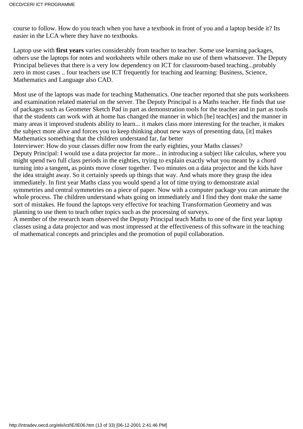course to follow. How do you teach when you have a textbook in front of you and a laptop beside it? It s easier in the LCA where they have no textbooks.

Laptop use with **first years** varies considerably from teacher to teacher. Some use learning packages, others use the laptops for notes and worksheets while others make no use of them whatsoever. The Deputy Principal believes that there is a very low dependency on ICT for classroom-based teaching...probably zero in most cases .. four teachers use ICT frequently for teaching and learning: Business, Science, Mathematics and Language also CAD.

Most use of the laptops was made for teaching Mathematics. One teacher reported that she puts worksheets and examination related material on the server. The Deputy Principal is a Maths teacher. He finds that use of packages such as Geometer Sketch Pad in part as demonstration tools for the teacher and in part as tools that the students can work with at home has changed the manner in which [he] teach[es] and the manner in many areas it improved students ability to learn... it makes class more interesting for the teacher, it makes the subject more alive and forces you to keep thinking about new ways of presenting data, [it] makes Mathematics something that the children understand far, far better

Interviewer: How do your classes differ now from the early eighties, your Math s classes?

Deputy Principal: I would use a data projector far more... in introducing a subject like calculus, where you might spend two full class periods in the eighties, trying to explain exactly what you meant by a chord turning into a tangent**,** as points move closer together. Two minutes on a data projector and the kids have the idea straight away. So it certainly speeds up things that way. And what s more they grasp the idea immediately. In first year Math s class you would spend a lot of time trying to demonstrate axial symmetries and central symmetries on a piece of paper. Now with a computer package you can animate the whole process. The children understand what s going on immediately and I find they don t make the same sort of mistakes. He found the laptops very effective for teaching Transformation Geometry and was planning to use them to teach other topics such as the processing of surveys.

A member of the research team observed the Deputy Principal teach Maths to one of the first year laptop classes using a data projector and was most impressed at the effectiveness of this software in the teaching of mathematical concepts and principles and the promotion of pupil collaboration.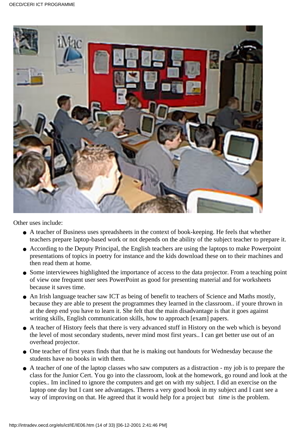

Other uses include:

- A teacher of Business uses spreadsheets in the context of book-keeping. He feels that whether teachers prepare laptop-based work or not depends on the ability of the subject teacher to prepare it.
- According to the Deputy Principal, the English teachers are using the laptops to make Powerpoint presentations of topics in poetry for instance and the kids download these on to their machines and then read them at home.
- Some interviewees highlighted the importance of access to the data projector. From a teaching point of view one frequent user sees PowerPoint as good for presenting material and for worksheets because it saves time.
- An Irish language teacher saw ICT as being of benefit to teachers of Science and Maths mostly, because they are able to present the programmes they learned in the classroom.. if youre thrown in at the deep end you have to learn it. She felt that the main disadvantage is that it goes against writing skills, English communication skills, how to approach [exam] papers.
- A teacher of History feels that there is very advanced stuff in History on the web which is beyond the level of most secondary students, never mind most first years.. I can get better use out of an overhead projector.
- One teacher of first years finds that that he is making out handouts for Wednesday because the students have no books in with them.
- A teacher of one of the laptop classes who saw computers as a distraction my job is to prepare the class for the Junior Cert. You go into the classroom, look at the homework, go round and look at the copies.. Im inclined to ignore the computers and get on with my subject. I did an exercise on the laptop one day but I can t see advantages. There s a very good book in my subject and I can t see a way of improving on that. He agreed that it would help for a project but *time* is the problem.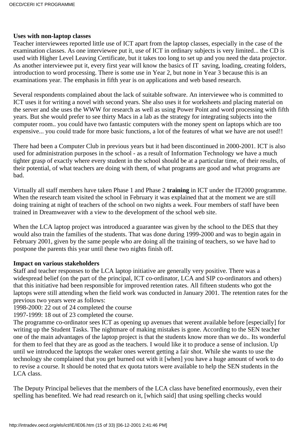#### **Uses with non-laptop classes**

Teacher interviewees reported little use of ICT apart from the laptop classes, especially in the case of the examination classes. As one interviewee put it, use of ICT in ordinary subjects is very limited... the CD is used with Higher Level Leaving Certificate, but it takes too long to set up and you need the data projector. As another interviewee put it, every first year will know the basics of IT saving, loading, creating folders, introduction to word processing. There is some use in Year 2, but none in Year 3 because this is an examinations year. The emphasis in fifth year is on applications and web based research.

Several respondents complained about the lack of suitable software. An interviewee who is committed to ICT uses it for writing a novel with second years. She also uses it for worksheets and placing material on the server and she uses the WWW for research as well as using Power Point and word processing with fifth years. But she would prefer to see thirty Macs in a lab as the strategy for integrating subjects into the computer room.. you could have two fantastic computers with the money spent on laptops which are too expensive... you could trade for more basic functions, a lot of the features of what we have are not used!!

There had been a Computer Club in previous years but it had been discontinued in 2000-2001. ICT is also used for administration purposes in the school - as a result of Information Technology we have a much tighter grasp of exactly where every student in the school should be at a particular time, of their results, of their potential, of what teachers are doing with them, of what programs are good and what programs are bad.

Virtually all staff members have taken Phase 1 and Phase 2 **training** in ICT under the IT2000 programme. When the research team visited the school in February it was explained that at the moment we are still doing training at night of teachers of the school on two nights a week. Four members of staff have been trained in Dreamweaver with a view to the development of the school web site.

When the LCA laptop project was introduced a guarantee was given by the school to the DES that they would also train the families of the students. That was done during 1999-2000 and was to begin again in February 2001, given by the same people who are doing all the training of teachers, so we have had to postpone the parents this year until these two nights finish off.

#### **Impact on various stakeholders**

Staff and teacher responses to the LCA laptop initiative are generally very positive. There was a widespread belief (on the part of the principal, ICT co-ordinator, LCA and SIP co-ordinators and others) that this initiative had been responsible for improved retention rates. All fifteen students who got the laptops were still attending when the field work was conducted in January 2001. The retention rates for the previous two years were as follows:

1998-2000: 22 out of 24 completed the course

1997-1999: 18 out of 23 completed the course.

The programme co-ordinator sees ICT as opening up avenues that werent available before [especially] for writing up the Student Tasks. The nightmare of making mistakes is gone. According to the SEN teacher one of the main advantages of the laptop project is that the students know more than we do.. It s wonderful for them to feel that they are as good as the teachers. I would like it to produce a sense of inclusion. Up until we introduced the laptops the weaker ones werent getting a fair shot. While she wants to use the technology she complained that you get burned out with it [when] you have a huge amount of work to do to revise a course. It should be noted that ex quota tutors were available to help the SEN students in the LCA class.

The Deputy Principal believes that the members of the LCA class have benefited enormously, even their spelling has benefited. We had read research on it, [which said] that using spelling checks would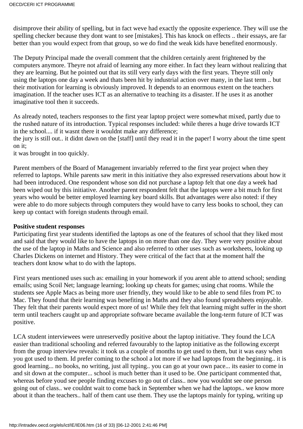disimprove their ability of spelling, but in fact we ve had exactly the opposite experience. They will use the spelling checker because they dont want to see [mistakes]. This has knock on effects .. their essays, are far better than you would expect from that group, so we do find the weak kids have benefited enormously.

The Deputy Principal made the overall comment that the children certainly arent frightened by the computers anymore. They re not afraid of learning any more either. In fact they learn without realizing that they are learning. But he pointed out that it s still very early days with the first years. They re still only using the laptops one day a week and that s been hit by industrial action over many, in the last term .. but their motivation for learning is obviously improved. It depends to an enormous extent on the teacher s imagination. If the teacher uses ICT as an alternative to teaching it s a disaster. If he uses it as another imaginative tool then it succeeds.

As already noted, teachers responses to the first year laptop project were somewhat mixed, partly due to the rushed nature of its introduction. Typical responses included: while theres a huge drive towards ICT in the school.... if it wasn t there it wouldn t make any difference;

the jury is still out.. it didnt dawn on the [staff] until they read it in the paper! I worry about the time spent on it:

it was brought in too quickly.

Parent members of the Board of Management invariably referred to the first year project when they referred to laptops. While parents saw merit in this initiative they also expressed reservations about how it had been introduced. One respondent whose son did not purchase a laptop felt that one day a week had been wiped out by this initiative. Another parent respondent felt that the laptops were a bit much for first years who would be better employed learning key board skills. But advantages were also noted: if they were able to do more subjects through computers they would have to carry less books to school, they can keep up contact with foreign students through email.

#### **Positive student responses**

Participating first year students identified the laptops as one of the features of school that they liked most and said that they would like to have the laptops in on more than one day. They were very positive about the use of the laptop in Maths and Science and also referred to other uses such as worksheets, looking up Charles Dickens on internet and History. They were critical of the fact that at the moment half the teachers dont know what to do with the laptops.

First years mentioned uses such as: emailing in your homework if you arent able to attend school; sending emails; using Scoil Net; language learning; looking up cheats for games; using chat rooms. While the students see Apple Macs as being more user friendly, they would like to be able to send files from PC to Mac. They found that their learning was benefiting in Maths and they also found spreadsheets enjoyable. They felt that their parents would expect more of us! While they felt that learning might suffer in the short term until teachers caught up and appropriate software became available the long-term future of ICT was positive.

LCA student interviewees were unreservedly positive about the laptop initiative. They found the LCA easier than traditional schooling and referred favourably to the laptop initiative as the following excerpt from the group interview reveals: it took us a couple of months to get used to them, but it was easy when you got used to them. Id prefer coming to the school a lot more if we had laptops from the beginning.. it is good learning... no books, no writing, just all typing.. you can go at your own pace... its easier to come in and sit down at the computer... school is much better than it used to be. One participant commented that, whereas before you d see people finding excuses to go out of class.. now you wouldn t see one person going out of class.. we couldn t wait to come back in September when we had the laptops.. we know more about it than the teachers.. half of them cant use them. They use the laptops mainly for typing, writing up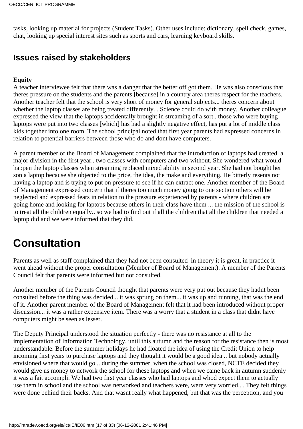tasks, looking up material for projects (Student Tasks). Other uses include: dictionary, spell check, games, chat, looking up special interest sites such as sports and cars, learning keyboard skills.

### **Issues raised by stakeholders**

#### **Equity**

A teacher interviewee felt that there was a danger that the better off got them. He was also conscious that there s pressure on the students and the parents [because] in a country area there s respect for the teachers. Another teacher felt that the school is very short of money for general subjects... there s concern about whether the laptop classes are being treated differently... Science could do with money. Another colleague expressed the view that the laptops accidentally brought in streaming of a sort.. those who were buying laptops were put into two classes [which] has had a slightly negative effect, has put a lot of middle class kids together into one room. The school principal noted that first year parents had expressed concerns in relation to potential barriers between those who do and dont have computers.

A parent member of the Board of Management complained that the introduction of laptops had created a major division in the first year.. two classes with computers and two without. She wondered what would happen the laptop classes when streaming replaced mixed ability in second year. She had not bought her son a laptop because she objected to the price, the idea, the make and everything. He bitterly resents not having a laptop and is trying to put on pressure to see if he can extract one. Another member of the Board of Management expressed concern that if theres too much money going to one section others will be neglected and expressed fears in relation to the pressure experienced by parents - where children are going home and looking for laptops because others in their class have them ... the mission of the school is to treat all the children equally.. so we had to find out if all the children that all the children that needed a laptop did and we were informed that they did.

# **Consultation**

Parents as well as staff complained that they had not been consulted in theory it is great, in practice it went ahead without the proper consultation (Member of Board of Management). A member of the Parents Council felt that parents were informed but not consulted.

Another member of the Parents Council thought that parents were very put out because they hadnt been consulted before the thing was decided... it was sprung on them... it was up and running, that was the end of it. Another parent member of the Board of Management felt that it had been introduced without proper discussion... it was a rather expensive item. There was a worry that a student in a class that didn t have computers might be seen as lesser.

The Deputy Principal understood the situation perfectly - there was no resistance at all to the implementation of Information Technology, until this autumn and the reason for the resistance then is most understandable. Before the summer holidays he had floated the idea of using the Credit Union to help incoming first years to purchase laptops and they thought it would be a good idea .. but nobody actually envisioned where that would go... during the summer, when the school was closed, NCTE decided they would give us money to network the school for these laptops and when we came back in autumn suddenly it was a fait accompli. We had two first year classes who had laptops and whod expect them to actually use them in school and the school was networked and teachers were, were very worried.... They felt things were done behind their backs. And that wasnt really what happened, but that was the perception, and you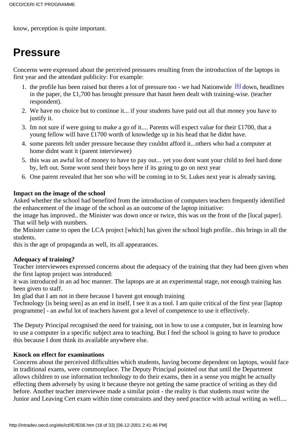know, perception is quite important.

# **Pressure**

Concerns were expressed about the perceived pressures resulting from the introduction of the laptops in first year and the attendant publicity: For example:

- 1. the profile has been raised but there s a lot of pressure too we had Nationwide<sup>[6]</sup> down, headlines in the paper, the £1,700 has brought pressure that hasnt been dealt with training-wise. (teacher respondent).
- We have no choice but to continue it... if your students have paid out all that money you have to 2. justify it.
- 3. I m not sure if we re going to make a go of it.... Parents will expect value for their £1700, that a young fellow will have £1700 worth of knowledge up in his head that he didnt have.
- 4. some parents felt under pressure because they couldn t afford it...others who had a computer at home didnt want it (parent interviewee)
- 5. this was an awful lot of money to have to pay out... yet you don t want your child to feel hard done by, left out. Some won t send their boys here if it s going to go on next year
- 6. One parent revealed that her son who will be coming in to St. Luke s next year is already saving.

#### **Impact on the image of the school**

Asked whether the school had benefited from the introduction of computers teachers frequently identified the enhancement of the image of the school as an outcome of the laptop initiative:

the image has improved.. the Minister was down once or twice, this was on the front of the [local paper]. That will help with numbers.

the Minister came to open the LCA project [which] has given the school high profile.. this brings in all the students.

this is the age of propaganda as well, it s all appearances.

#### **Adequacy of training?**

Teacher interviewees expressed concerns about the adequacy of the training that they had been given when the first laptop project was introduced:

it was introduced in an ad hoc manner. The laptops are at an experimental stage, not enough training has been given to staff.

Im glad that I am not in there because I havent got enough training

Technology [is being seen] as an end in itself, I see it as a tool. I am quite critical of the first year [laptop programme] - an awful lot of teachers haven t got a level of competence to use it effectively.

The Deputy Principal recognised the need for training, not in how to use a computer, but in learning how to use a computer in a specific subject area to teaching. But I feel the school is going to have to produce this because I dont think it s available anywhere else.

#### **Knock on effect for examinations**

Concerns about the perceived difficulties which students, having become dependent on laptops, would face in traditional exams, were commonplace. The Deputy Principal pointed out that until the Department allows children to use information technology to do their exams, then in a sense you might be actually effecting them adversely by using it because they re not getting the same practice of writing as they did before. Another teacher interviewee made a similar point - the reality is that students must write the Junior and Leaving Cert exam within time constraints and they need practice with actual writing as well....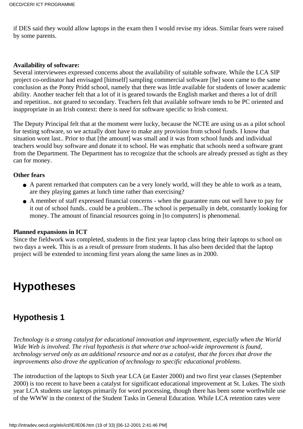if DES said they would allow laptops in the exam then I would revise my ideas. Similar fears were raised by some parents.

#### **Availability of software:**

Several interviewees expressed concerns about the availability of suitable software. While the LCA SIP project co-ordinator had envisaged [himself] sampling commercial software [he] soon came to the same conclusion as the Ponty Pridd school, namely that there was little available for students of lower academic ability. Another teacher felt that a lot of it is geared towards the English market and theres a lot of drill and repetition.. not geared to secondary. Teachers felt that available software tends to be PC oriented and inappropriate in an Irish context: there is need for software specific to Irish context.

The Deputy Principal felt that at the moment we re lucky, because the NCTE are using us as a pilot school for testing software, so we actually dont have to make any provision from school funds. I know that situation won t last.. Prior to that [the amount] was small and it was from school funds and individual teachers would buy software and donate it to school. He was emphatic that schools need a software grant from the Department. The Department has to recognize that the schools are already pressed as tight as they can for money.

#### **Other fears**

- A parent remarked that computers can be a very lonely world, will they be able to work as a team, are they playing games at lunch time rather than exercising?
- A member of staff expressed financial concerns when the guarantee runs out we ll have to pay for it out of school funds.. could be a problem...The school is perpetually in debt, constantly looking for money. The amount of financial resources going in [to computers] is phenomenal.

#### **Planned expansions in ICT**

Since the fieldwork was completed, students in the first year laptop class bring their laptops to school on two days a week. This is as a result of pressure from students. It has also been decided that the laptop project will be extended to incoming first years along the same lines as in 2000.

# **Hypotheses**

### **Hypothesis 1**

*Technology is a strong catalyst for educational innovation and improvement, especially when the World Wide Web is involved. The rival hypothesis is that where true school-wide improvement is found, technology served only as an additional resource and not as a catalyst, that the forces that drove the improvements also drove the application of technology to specific educational problems.*

The introduction of the laptops to Sixth year LCA (at Easter 2000) and two first year classes (September 2000) is too recent to have been a catalyst for significant educational improvement at St. Lukes. The sixth year LCA students use laptops primarily for word processing, though there has been some worthwhile use of the WWW in the context of the Student Tasks in General Education. While LCA retention rates were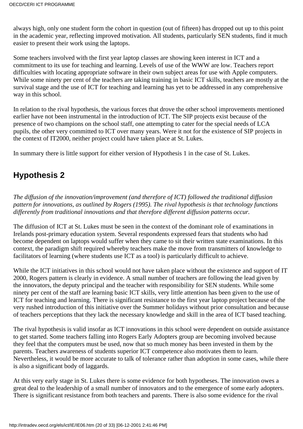always high, only one student form the cohort in question (out of fifteen) has dropped out up to this point in the academic year, reflecting improved motivation. All students, particularly SEN students, find it much easier to present their work using the laptops.

Some teachers involved with the first year laptop classes are showing keen interest in ICT and a commitment to its use for teaching and learning. Levels of use of the WWW are low. Teachers report difficulties with locating appropriate software in their own subject areas for use with Apple computers. While some ninety per cent of the teachers are taking training in basic ICT skills, teachers are mostly at the survival stage and the use of ICT for teaching and learning has yet to be addressed in any comprehensive way in this school.

In relation to the rival hypothesis, the various forces that drove the other school improvements mentioned earlier have not been instrumental in the introduction of ICT. The SIP projects exist because of the presence of two champions on the school staff, one attempting to cater for the special needs of LCA pupils, the other very committed to ICT over many years. Were it not for the existence of SIP projects in the context of IT2000, neither project could have taken place at St. Lukes.

In summary there is little support for either version of Hypothesis 1 in the case of St. Luke s.

## **Hypothesis 2**

*The diffusion of the innovation/improvement (and therefore of ICT) followed the traditional diffusion pattern for innovations, as outlined by Rogers (1995). The rival hypothesis is that technology functions differently from traditional innovations and that therefore different diffusion patterns occur.*

The diffusion of ICT at St. Luke s must be seen in the context of the dominant role of examinations in Ireland s post-primary education system. Several respondents expressed fears that students who had become dependent on laptops would suffer when they came to sit their written state examinations. In this context, the paradigm shift required whereby teachers make the move from transmitters of knowledge to facilitators of learning (where students use ICT as a tool) is particularly difficult to achieve.

While the ICT initiatives in this school would not have taken place without the existence and support of IT 2000, Roger s pattern is clearly in evidence. A small number of teachers are following the lead given by the innovators, the deputy principal and the teacher with responsibility for SEN students. While some ninety per cent of the staff are learning basic ICT skills, very little attention has been given to the use of ICT for teaching and learning. There is significant resistance to the first year laptop project because of the very rushed introduction of this initiative over the Summer holidays without prior consultation and because of teachers perceptions that they lack the necessary knowledge and skill in the area of ICT based teaching.

The rival hypothesis is valid insofar as ICT innovations in this school were dependent on outside assistance to get started. Some teachers falling into Roger s Early Adopters group are becoming involved because they feel that the computers must be used, now that so much money has been invested in them by the parents. Teachers awareness of students superior ICT competence also motivates them to learn. Nevertheless, it would be more accurate to talk of tolerance rather than adoption in some cases, while there is also a significant body of laggards.

At this very early stage in St. Luke s there is some evidence for both hypotheses. The innovation owes a great deal to the leadership of a small number of innovators and to the emergence of some early adopters. There is significant resistance from both teachers and parents. There is also some evidence for the rival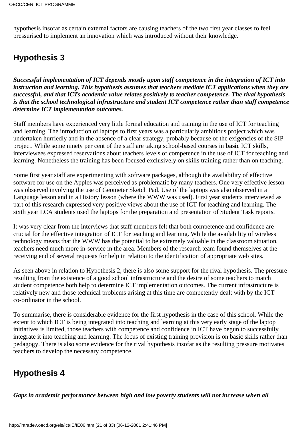hypothesis insofar as certain external factors are causing teachers of the two first year classes to feel pressurised to implement an innovation which was introduced without their knowledge.

## **Hypothesis 3**

*Successful implementation of ICT depends mostly upon staff competence in the integration of ICT into instruction and learning. This hypothesis assumes that teachers mediate ICT applications when they are successful, and that ICT s academic value relates positively to teacher competence. The rival hypothesis is that the school technological infrastructure and student ICT competence rather than staff competence determine ICT implementation outcomes.*

Staff members have experienced very little formal education and training in the use of ICT for teaching and learning. The introduction of laptops to first years was a particularly ambitious project which was undertaken hurriedly and in the absence of a clear strategy, probably because of the exigencies of the SIP project. While some ninety per cent of the staff are taking school-based courses in **basic** ICT skills, interviewees expressed reservations about teachers levels of competence in the use of ICT for teaching and learning. Nonetheless the training has been focused exclusively on skills training rather than on teaching.

Some first year staff are experimenting with software packages, although the availability of effective software for use on the Apples was perceived as problematic by many teachers. One very effective lesson was observed involving the use of Geometer Sketch Pad. Use of the laptops was also observed in a Language lesson and in a History lesson (where the WWW was used). First year students interviewed as part of this research expressed very positive views about the use of ICT for teaching and learning. The sixth year LCA students used the laptops for the preparation and presentation of Student Task reports.

It was very clear from the interviews that staff members felt that both competence and confidence are crucial for the effective integration of ICT for teaching and learning. While the availability of wireless technology means that the WWW has the potential to be extremely valuable in the classroom situation, teachers need much more in-service in the area. Members of the research team found themselves at the receiving end of several requests for help in relation to the identification of appropriate web sites.

As seen above in relation to Hypothesis 2, there is also some support for the rival hypothesis. The pressure resulting from the existence of a good school infrastructure and the desire of some teachers to match student competence both help to determine ICT implementation outcomes. The current infrastructure is relatively new and those technical problems arising at this time are competently dealt with by the ICT co-ordinator in the school.

To summarise, there is considerable evidence for the first hypothesis in the case of this school. While the extent to which ICT is being integrated into teaching and learning at this very early stage of the laptop initiatives is limited, those teachers with competence and confidence in ICT have begun to successfully integrate it into teaching and learning. The focus of existing training provision is on basic skills rather than pedagogy. There is also some evidence for the rival hypothesis insofar as the resulting pressure motivates teachers to develop the necessary competence.

## **Hypothesis 4**

*Gaps in academic performance between high and low poverty students will not increase when all*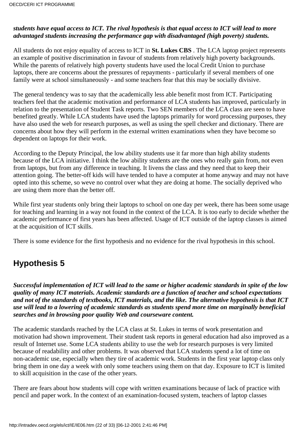#### *students have equal access to ICT. The rival hypothesis is that equal access to ICT will lead to more advantaged students increasing the performance gap with disadvantaged (high poverty) students.*

All students do not enjoy equality of access to ICT in **St. Lukes CBS**. The LCA laptop project represents an example of positive discrimination in favour of students from relatively high poverty backgrounds. While the parents of relatively high poverty students have used the local Credit Union to purchase laptops, there are concerns about the pressures of repayments - particularly if several members of one family were at school simultaneously - and some teachers fear that this may be socially divisive.

The general tendency was to say that the academically less able benefit most from ICT. Participating teachers feel that the academic motivation and performance of LCA students has improved, particularly in relation to the presentation of Student Task reports. Two SEN members of the LCA class are seen to have benefited greatly. While LCA students have used the laptops primarily for word processing purposes, they have also used the web for research purposes, as well as using the spell checker and dictionary. There are concerns about how they will perform in the external written examinations when they have become so dependent on laptops for their work.

According to the Deputy Principal, the low ability students use it far more than high ability students because of the LCA initiative. I think the low ability students are the ones who really gain from, not even from laptops, but from any difference in teaching. It livens the class and they need that to keep their attention going. The better-off kids will have tended to have a computer at home anyway and may not have opted into this scheme, so we ve no control over what they are doing at home. The socially deprived who are using them more than the better off.

While first year students only bring their laptops to school on one day per week, there has been some usage for teaching and learning in a way not found in the context of the LCA. It is too early to decide whether the academic performance of first years has been affected. Usage of ICT outside of the laptop classes is aimed at the acquisition of ICT skills.

There is some evidence for the first hypothesis and no evidence for the rival hypothesis in this school.

## **Hypothesis 5**

*Successful implementation of ICT will lead to the same or higher academic standards in spite of the low quality of many ICT materials. Academic standards are a function of teacher and school expectations and not of the standards of textbooks, ICT materials, and the like. The alternative hypothesis is that ICT use will lead to a lowering of academic standards as students spend more time on marginally beneficial searches and in browsing poor quality Web and courseware content.*

The academic standards reached by the LCA class at St. Luke s in terms of work presentation and motivation had shown improvement. Their student task reports in general education had also improved as a result of Internet use. Some LCA students ability to use the web for research purposes is very limited because of readability and other problems. It was observed that LCA students spend a lot of time on non-academic use, especially when they tire of academic work. Students in the first year laptop class only bring them in one day a week with only some teachers using them on that day. Exposure to ICT is limited to skill acquisition in the case of the other years.

There are fears about how students will cope with written examinations because of lack of practice with pencil and paper work. In the context of an examination-focused system, teachers of laptop classes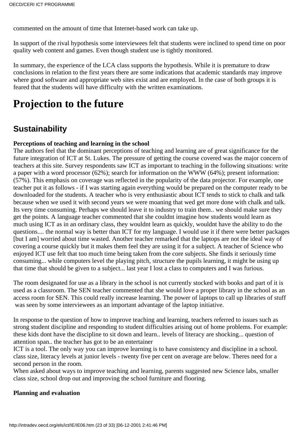commented on the amount of time that Internet-based work can take up.

In support of the rival hypothesis some interviewees felt that students were inclined to spend time on poor quality web content and games. Even though student use is tightly monitored.

In summary, the experience of the LCA class supports the hypothesis. While it is premature to draw conclusions in relation to the first years there are some indications that academic standards may improve where good software and appropriate web sites exist and are employed. In the case of both groups it is feared that the students will have difficulty with the written examinations.

# **Projection to the future**

## **Sustainability**

#### **Perceptions of teaching and learning in the school**

The authors feel that the dominant perceptions of teaching and learning are of great significance for the future integration of ICT at St. Luke s. The pressure of getting the course covered was the major concern of teachers at this site. Survey respondents saw ICT as important to teaching in the following situations: write a paper with a word processor (62%); search for information on the WWW (64%); present information: (57%). This emphasis on coverage was reflected in the popularity of the data projector. For example, one teacher put it as follows - if I was starting again everything would be prepared on the computer ready to be downloaded for the students. A teacher who is very enthusiastic about ICT tends to stick to chalk and talk because when we used it with second years we were moaning that wed get more done with chalk and talk. It s very time consuming. Perhaps we should leave it to industry to train them.. we should make sure they get the points. A language teacher commented that she couldn t imagine how students would learn as much using ICT as in an ordinary class, they wouldn t learn as quickly, wouldn t have the ability to do the questions.... the normal way is better than ICT for my language. I would use it if there were better packages [but I am] worried about time wasted. Another teacher remarked that the laptops are not the ideal way of covering a course quickly but it makes them feel they are using it for a subject. A teacher of Science who enjoyed ICT use felt that too much time being taken from the core subjects. She finds it seriously time consuming... while computers level the playing pitch, structure the pupils learning, it might be using up that time that should be given to a subject... last year I lost a class to computers and I was furious.

The room designated for use as a library in the school is not currently stocked with books and part of it is used as a classroom. The SEN teacher commented that she would love a proper library in the school as an access room for SEN. This could really increase learning. The power of laptops to call up libraries of stuff was seen by some interviewees as an important advantage of the laptop initiative.

In response to the question of how to improve teaching and learning, teachers referred to issues such as strong student discipline and responding to student difficulties arising out of home problems. For example: these kids dont have the discipline to sit down and learn.. levels of literacy are shocking... question of attention span.. the teacher has got to be an entertainer

ICT is a tool. The only way you can improve learning is to have consistency and discipline in a school. class size, literacy levels at junior levels - twenty five per cent on average are below. There s need for a second person in the room.

When asked about ways to improve teaching and learning, parents suggested new Science labs, smaller class size, school drop out and improving the school furniture and flooring.

#### **Planning and evaluation**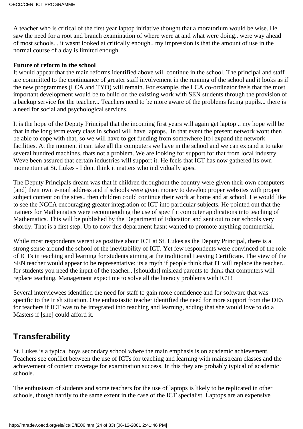A teacher who is critical of the first year laptop initiative thought that a moratorium would be wise. He saw the need for a root and branch examination of where we re at and what we re doing.. we re way ahead of most schools... it wasnt looked at critically enough.. my impression is that the amount of use in the normal course of a day is limited enough.

#### **Future of reform in the school**

It would appear that the main reforms identified above will continue in the school. The principal and staff are committed to the continuance of greater staff involvement in the running of the school and it looks as if the new programmes (LCA and TYO) will remain. For example, the LCA co-ordinator feels that the most important development would be to build on the existing work with SEN students through the provision of a backup service for the teacher... Teachers need to be more aware of the problems facing pupils... there is a need for social and psychological services.

It is the hope of the Deputy Principal that the incoming first years will again get laptop .. my hope will be that in the long term every class in school will have laptops. In that event the present network wont then be able to cope with that, so we will have to get funding from somewhere [to] expand the network facilities. At the moment it can take all the computers we have in the school and we can expand it to take several hundred machines, that s not a problem. We are looking for support for that from local industry. We ve been assured that certain industries will support it. He feels that ICT has now gathered its own momentum at St. Luke s - I don t think it matters who individually goes.

The Deputy Principal s dream was that if children throughout the country were given their own computers [and] their own e-mail address and if schools were given money to develop proper websites with proper subject content on the sites.. then children could continue their work at home and at school. He would like to see the NCCA encouraging greater integration of ICT into particular subjects. He pointed out that the trainers for Mathematics were recommending the use of specific computer applications into teaching of Mathematics. This will be published by the Department of Education and sent out to our schools very shortly. That is a first step. Up to now this department hasn t wanted to promote anything commercial.

While most respondents weren t as positive about ICT at St. Luke s as the Deputy Principal, there is a strong sense around the school of the inevitability of ICT. Yet few respondents were convinced of the role of ICT s in teaching and learning for students aiming at the traditional Leaving Certificate. The view of the SEN teacher would appear to be representative: it s a myth if people think that IT will replace the teacher.. for students you need the input of the teacher.. [shouldn t] mislead parents to think that computers will replace teaching. Management expect me to solve all the literacy problems with ICT!

Several interviewees identified the need for staff to gain more confidence and for software that was specific to the Irish situation. One enthusiastic teacher identified the need for more support from the DES for teachers if ICT was to be integrated into teaching and learning, adding that she would love to do a Master s if [she] could afford it.

## **Transferability**

St. Luke s is a typical boys secondary school where the main emphasis is on academic achievement. Teachers see conflict between the use of ICT s for teaching and learning with mainstream classes and the achievement of content coverage for examination success. In this they are probably typical of academic schools.

The enthusiasm of students and some teachers for the use of laptops is likely to be replicated in other schools, though hardly to the same extent in the case of the ICT specialist. Laptops are an expensive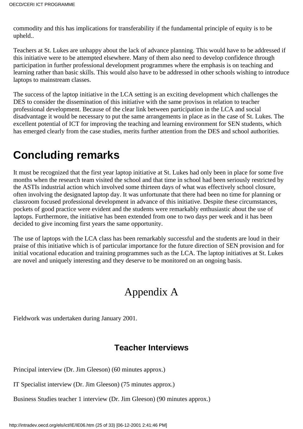commodity and this has implications for transferability if the fundamental principle of equity is to be upheld..

Teachers at St. Luke s are unhappy about the lack of advance planning. This would have to be addressed if this initiative were to be attempted elsewhere. Many of them also need to develop confidence through participation in further professional development programmes where the emphasis is on teaching and learning rather than basic skills. This would also have to be addressed in other schools wishing to introduce laptops to mainstream classes.

The success of the laptop initiative in the LCA setting is an exciting development which challenges the DES to consider the dissemination of this initiative with the same provisos in relation to teacher professional development. Because of the clear link between participation in the LCA and social disadvantage it would be necessary to put the same arrangements in place as in the case of St. Lukes. The excellent potential of ICT for improving the teaching and learning environment for SEN students, which has emerged clearly from the case studies, merits further attention from the DES and school authorities.

# **Concluding remarks**

It must be recognized that the first year laptop initiative at St. Luke s had only been in place for some five months when the research team visited the school and that time in school had been seriously restricted by the ASTI s industrial action which involved some thirteen days of what was effectively school closure, often involving the designated laptop day. It was unfortunate that there had been no time for planning or classroom focused professional development in advance of this initiative. Despite these circumstances, pockets of good practice were evident and the students were remarkably enthusiastic about the use of laptops. Furthermore, the initiative has been extended from one to two days per week and it has been decided to give incoming first years the same opportunity.

The use of laptops with the LCA class has been remarkably successful and the students are loud in their praise of this initiative which is of particular importance for the future direction of SEN provision and for initial vocational education and training programmes such as the LCA. The laptop initiatives at St. Luke s are novel and uniquely interesting and they deserve to be monitored on an ongoing basis.

# Appendix A

Fieldwork was undertaken during January 2001.

## **Teacher Interviews**

Principal interview (Dr. Jim Gleeson) (60 minutes approx.)

IT Specialist interview (Dr. Jim Gleeson) (75 minutes approx.)

Business Studies teacher 1 interview (Dr. Jim Gleeson) (90 minutes approx.)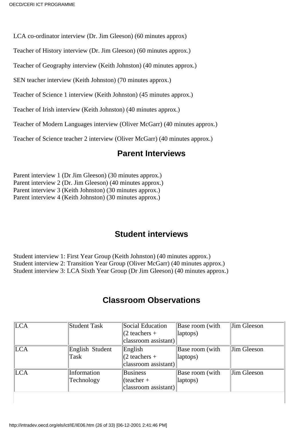LCA co-ordinator interview (Dr. Jim Gleeson) (60 minutes approx)

Teacher of History interview (Dr. Jim Gleeson) (60 minutes approx.)

Teacher of Geography interview (Keith Johnston) (40 minutes approx.)

SEN teacher interview (Keith Johnston) (70 minutes approx.)

Teacher of Science 1 interview (Keith Johnston) (45 minutes approx.)

Teacher of Irish interview (Keith Johnston) (40 minutes approx.)

Teacher of Modern Languages interview (Oliver McGarr) (40 minutes approx.)

Teacher of Science teacher 2 interview (Oliver McGarr) (40 minutes approx.)

### **Parent Interviews**

Parent interview 1 (Dr Jim Gleeson) (30 minutes approx.) Parent interview 2 (Dr. Jim Gleeson) (40 minutes approx.) Parent interview 3 (Keith Johnston) (30 minutes approx.) Parent interview 4 (Keith Johnston) (30 minutes approx.)

### **Student interviews**

Student interview 1: First Year Group (Keith Johnston) (40 minutes approx.) Student interview 2: Transition Year Group (Oliver McGarr) (40 minutes approx.) Student interview 3: LCA Sixth Year Group (Dr Jim Gleeson) (40 minutes approx.)

### **Classroom Observations**

| <b>LCA</b> | Student Task       | Social Education        | Base room (with | Jim Gleeson |
|------------|--------------------|-------------------------|-----------------|-------------|
|            |                    | $(2 \text{ teachers} +$ | laptops)        |             |
|            |                    | classroom assistant)    |                 |             |
| LCA        | English<br>Student | English                 | Base room (with | Jim Gleeson |
|            | Task               | $(2 \text{ teachers} +$ | $ $ laptops $)$ |             |
|            |                    | classroom assistant)    |                 |             |
| <b>LCA</b> | Information        | <b>Business</b>         | Base room (with | Jim Gleeson |
|            | Technology         | $ $ (teacher +          | laptops)        |             |
|            |                    | $ classroom$ assistant) |                 |             |
|            |                    |                         |                 |             |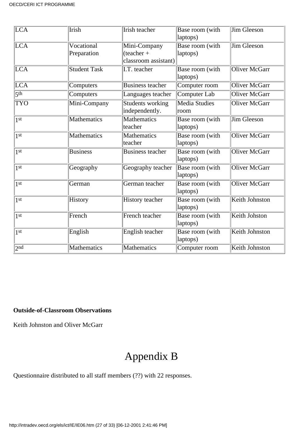| LCA                 | <b>Irish</b>              | Irish teacher                                        | Base room (with<br>laptops)  | <b>Jim Gleeson</b>    |
|---------------------|---------------------------|------------------------------------------------------|------------------------------|-----------------------|
| LCA <sup></sup>     | Vocational<br>Preparation | Mini-Company<br>$(teacher +$<br>classroom assistant) | Base room (with<br>laptops)  | <b>Jim Gleeson</b>    |
| LCA                 | <b>Student Task</b>       | I.T. teacher                                         | Base room (with<br>laptops)  | <b>Oliver McGarr</b>  |
| LCA                 | Computers                 | <b>Business teacher</b>                              | Computer room                | Oliver McGarr         |
| $\overline{5^{th}}$ | Computers                 | Languages teacher                                    | Computer Lab                 | <b>Oliver McGarr</b>  |
| <b>TYO</b>          | Mini-Company              | Students working<br>independently.                   | <b>Media Studies</b><br>room | <b>Oliver McGarr</b>  |
| 1 <sup>st</sup>     | Mathematics               | <b>Mathematics</b><br>teacher                        | Base room (with<br>laptops)  | Jim Gleeson           |
| 1 <sup>st</sup>     | Mathematics               | Mathematics<br>teacher                               | Base room (with<br>laptops)  | <b>Oliver McGarr</b>  |
| 1 <sup>st</sup>     | <b>Business</b>           | <b>Business teacher</b>                              | Base room (with<br>laptops)  | <b>Oliver McGarr</b>  |
| 1 <sup>st</sup>     | Geography                 | Geography teacher                                    | Base room (with<br>laptops)  | <b>Oliver McGarr</b>  |
| 1 <sup>st</sup>     | German                    | German teacher                                       | Base room (with<br>laptops)  | <b>Oliver McGarr</b>  |
| 1 <sup>st</sup>     | History                   | <b>History</b> teacher                               | Base room (with<br>laptops)  | <b>Keith Johnston</b> |
| 1st                 | French                    | French teacher                                       | Base room (with<br>laptops)  | Keith Johston         |
| 1 <sup>st</sup>     | English                   | English teacher                                      | Base room (with<br>laptops)  | Keith Johnston        |
| 2 <sub>nd</sub>     | Mathematics               | Mathematics                                          | Computer room                | Keith Johnston        |

#### **Outside-of-Classroom Observations**

Keith Johnston and Oliver McGarr

# Appendix B

Questionnaire distributed to all staff members (??) with 22 responses.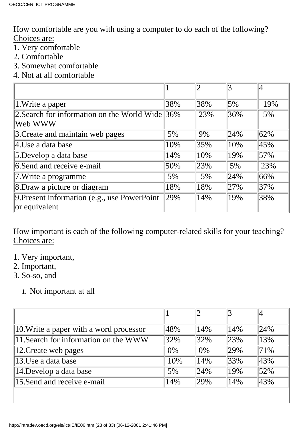How comfortable are you with using a computer to do each of the following? Choices are:

- 1. Very comfortable
- 2. Comfortable
- 3. Somewhat comfortable
- 4. Not at all comfortable

| 1. Write a paper                                            | 38% | 38% | $5\%$ | 19% |
|-------------------------------------------------------------|-----|-----|-------|-----|
| 2. Search for information on the World Wide 36%<br> Web WWW |     | 23% | 36%   | 5%  |
| 3. Create and maintain web pages                            | 5%  | 9%  | 24%   | 62% |
| 4.Use a data base                                           | 10% | 35% | 10%   | 45% |
| 5.Develop a data base                                       | 14% | 10% | 19%   | 57% |
| 6. Send and receive e-mail                                  | 50% | 23% | 5%    | 23% |
| 7. Write a programme                                        | 5%  | 5%  | 24%   | 66% |
| 8. Draw a picture or diagram                                | 18% | 18% | 27%   | 37% |
| 9. Present information (e.g., use PowerPoint                | 29% | 14% | 19%   | 38% |
| or equivalent                                               |     |     |       |     |

How important is each of the following computer-related skills for your teaching? Choices are:

- 1. Very important,
- 2. Important,
- 3. So-so, and
	- 1. Not important at all

| 10. Write a paper with a word processor | 48%     | 14%     | 14%    | 24%           |
|-----------------------------------------|---------|---------|--------|---------------|
| 11. Search for information on the WWW   | $ 32\%$ | $ 32\%$ | 23%    | 13%           |
| $ 12$ . Create web pages                | 0%      | $0\%$   | 29%    | 71%           |
| $ 13.$ Use a data base                  | 10%     | 14%     | $33\%$ | 43%           |
| 14. Develop a data base                 | 5%      | 24%     | 19%    | $\sqrt{52\%}$ |
| 15. Send and receive e-mail             | 14%     | 29%     | 14%    | 43%           |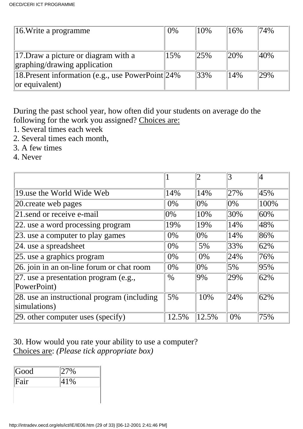| $\parallel$ 16. Write a programme                  | $0\%$ | 10%     | 16% | 74% |
|----------------------------------------------------|-------|---------|-----|-----|
|                                                    |       |         |     |     |
| $\parallel$ 17. Draw a picture or diagram with a   | 15%   | 125%    | 20% | 40% |
| graphing/drawing application                       |       |         |     |     |
| 18. Present information (e.g., use PowerPoint 24%) |       | $ 33\%$ | 14% | 29% |
| $\alpha$ equivalent)                               |       |         |     |     |

During the past school year, how often did your students on average do the following for the work you assigned? Choices are:

- 1. Several times each week
- 2. Several times each month,
- 3. A few times
- 4. Never

|                                                 |        | 2      | 3      | 4    |
|-------------------------------------------------|--------|--------|--------|------|
|                                                 |        |        |        |      |
| 19.use the World Wide Web                       | 14%    | 14%    | 27%    | 45%  |
| 20 create web pages                             | 0%     | $ 0\%$ | $ 0\%$ | 100% |
| 21 send or receive e-mail                       | $ 0\%$ | 10%    | 30%    | 60%  |
| 22. use a word processing program               | 19%    | 19%    | 14%    | 48%  |
| $ 23$ . use a computer to play games            | $0\%$  | $ 0\%$ | 14%    | 86%  |
| $ 24.$ use a spreadsheet                        | $0\%$  | 5%     | 33%    | 62%  |
| $ 25$ . use a graphics program                  | 0%     | 0%     | 24%    | 76%  |
| 26. join in an on-line forum or chat room       | $0\%$  | $ 0\%$ | $5\%$  | 95%  |
| 27. use a presentation program (e.g.,           | $\%$   | $9\%$  | 29%    | 62%  |
| PowerPoint)                                     |        |        |        |      |
| $ 28$ . use an instructional program (including | 5%     | 10%    | 24%    | 62%  |
| simulations)                                    |        |        |        |      |
| $ 29$ other computer uses (specify)             | 12.5%  | 12.5%  | 0%     | 75%  |

30. How would you rate your ability to use a computer? Choices are: *(Please tick appropriate box)*

| Good | 27% |  |
|------|-----|--|
| Fair | 41% |  |
|      |     |  |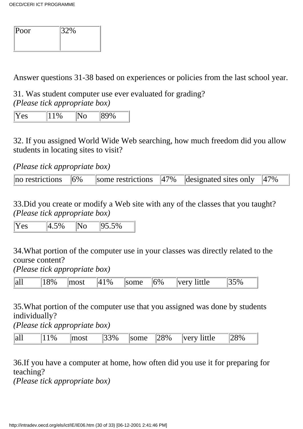| $ $ Poor | $ 32\%$ |
|----------|---------|
|          |         |
|          |         |

Answer questions 31-38 based on experiences or policies from the last school year.

31. Was student computer use ever evaluated for grading? *(Please tick appropriate box)*

|--|--|--|--|

32. If you assigned World Wide Web searching, how much freedom did you allow students in locating sites to visit?

*(Please tick appropriate box)*

| $\ $ no restrictions $\ $ 6% |  | some restrictions $\ 47\%$ designated sites only $\ 47\%$ |  |
|------------------------------|--|-----------------------------------------------------------|--|

33.Did you create or modify a Web site with any of the classes that you taught? *(Please tick appropriate box)*

 $\overline{Y}$ es  $\overline{4.5\%}$  No  $\overline{95.5\%}$ 

34.What portion of the computer use in your classes was directly related to the course content?

*(Please tick appropriate box)*

| -4.40<br>$\ $ al. | $\Omega_{00}$ | $\sim$ $\sim$ + | 0/2<br>17 | าm∩ | $\sqrt[1]{6\%}$ | 'le<br>$-7227$<br>$\ddot{\phantom{0}}$ | $\sim$ $\sim$<br>$V_{\alpha}$ |  |
|-------------------|---------------|-----------------|-----------|-----|-----------------|----------------------------------------|-------------------------------|--|
|-------------------|---------------|-----------------|-----------|-----|-----------------|----------------------------------------|-------------------------------|--|

35.What portion of the computer use that you assigned was done by students individually?

*(Please tick appropriate box)*

| all | $\%$ | most | ຳ $3\%$<br>ر ب | some | $128\%$ | little<br> verv | 78% |  |
|-----|------|------|----------------|------|---------|-----------------|-----|--|
|-----|------|------|----------------|------|---------|-----------------|-----|--|

36.If you have a computer at home, how often did you use it for preparing for teaching?

*(Please tick appropriate box)*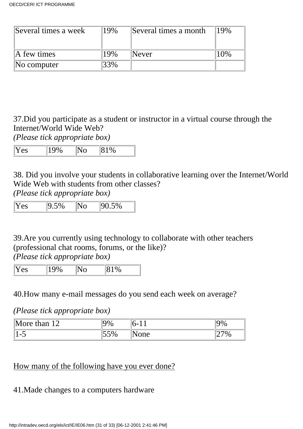| Several times a week    | 19% | Several times a month | 19% |
|-------------------------|-----|-----------------------|-----|
| $\mathbb{A}$ few times  | 19% | Never                 |     |
| $\mathbb{N}$ o computer | 3%  |                       |     |

37.Did you participate as a student or instructor in a virtual course through the Internet/World Wide Web?

*(Please tick appropriate box)*

| $ \mathbf{V} $<br>100/<br>Y es | $\mathbf{A}$<br>N 6<br>91 A. D | $1\%$ |  |
|--------------------------------|--------------------------------|-------|--|
|--------------------------------|--------------------------------|-------|--|

38. Did you involve your students in collaborative learning over the Internet/World Wide Web with students from other classes?

*(Please tick appropriate box)*

|  | $\cdot$ |
|--|---------|
|--|---------|

39.Are you currently using technology to collaborate with other teachers (professional chat rooms, forums, or the like)?

*(Please tick appropriate box)*

| ľ<br>r,<br>ັ |  | ◡ |
|--------------|--|---|
|              |  |   |

40.How many e-mail messages do you send each week on average?

*(Please tick appropriate box)*

| $\mathbb{M}$<br>$\sim$<br>`han<br>$\gamma$ re<br>. . | $\gamma_{0}$    | <b>.</b>           | 7 U |
|------------------------------------------------------|-----------------|--------------------|-----|
| $\overline{\phantom{0}}$                             | $\mathbb{C}$ CC | $n \Delta$<br>viiv |     |

## How many of the following have you ever done?

### 41. Made changes to a computer s hardware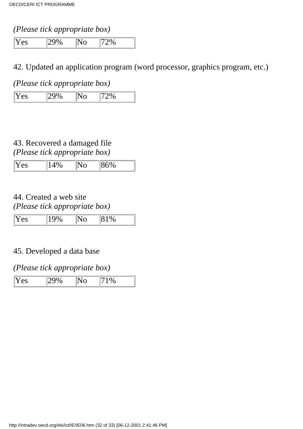### *(Please tick appropriate box)*

Yes 29% No 72%

### 42. Updated an application program (word processor, graphics program, etc.)

*(Please tick appropriate box)*

| Yes | $7\%$ | N. | 72% |
|-----|-------|----|-----|

### 43. Recovered a damaged file *(Please tick appropriate box)*

| $ \mathbf{V} $<br>Y es | $A \Omega$ | $86\%$ |
|------------------------|------------|--------|
|                        |            |        |

### 44. Created a web site *(Please tick appropriate box)*

### 45. Developed a data base

### *(Please tick appropriate box)*

| Yes<br>$\%$ |
|-------------|
|-------------|